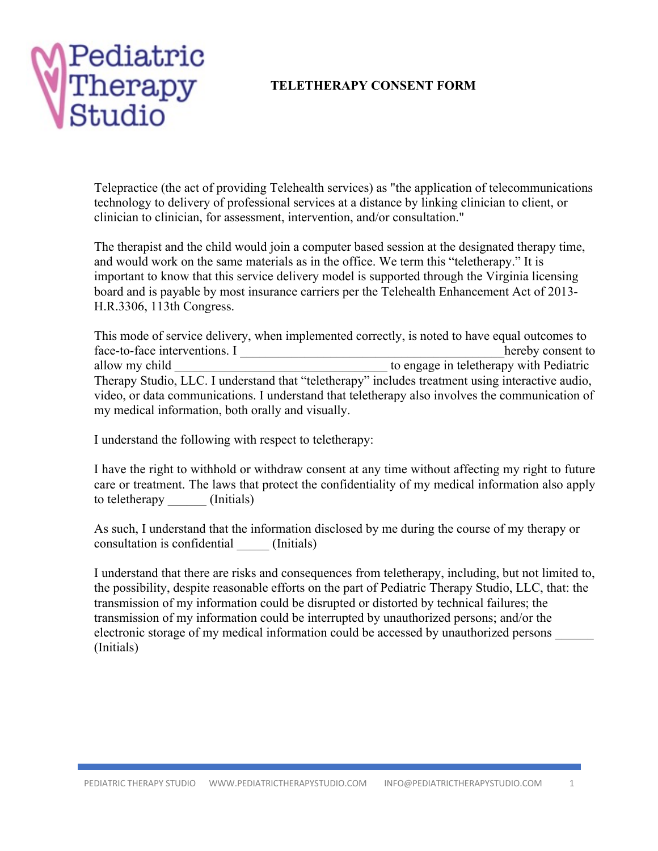

## **TELETHERAPY CONSENT FORM**

Telepractice (the act of providing Telehealth services) as "the application of telecommunications technology to delivery of professional services at a distance by linking clinician to client, or clinician to clinician, for assessment, intervention, and/or consultation."

The therapist and the child would join a computer based session at the designated therapy time, and would work on the same materials as in the office. We term this "teletherapy." It is important to know that this service delivery model is supported through the Virginia licensing board and is payable by most insurance carriers per the Telehealth Enhancement Act of 2013- H.R.3306, 113th Congress.

This mode of service delivery, when implemented correctly, is noted to have equal outcomes to face-to-face interventions. I hereby consent to allow my child **allow** my child to engage in teletherapy with Pediatric Therapy Studio, LLC. I understand that "teletherapy" includes treatment using interactive audio, video, or data communications. I understand that teletherapy also involves the communication of my medical information, both orally and visually.

I understand the following with respect to teletherapy:

I have the right to withhold or withdraw consent at any time without affecting my right to future care or treatment. The laws that protect the confidentiality of my medical information also apply to teletherapy (Initials)

As such, I understand that the information disclosed by me during the course of my therapy or consultation is confidential \_\_\_\_\_ (Initials)

I understand that there are risks and consequences from teletherapy, including, but not limited to, the possibility, despite reasonable efforts on the part of Pediatric Therapy Studio, LLC, that: the transmission of my information could be disrupted or distorted by technical failures; the transmission of my information could be interrupted by unauthorized persons; and/or the electronic storage of my medical information could be accessed by unauthorized persons \_\_\_\_\_\_ (Initials)